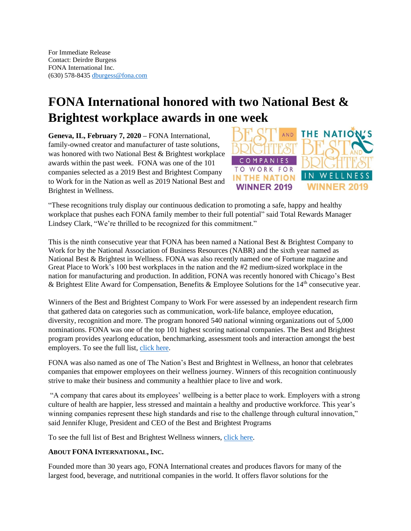## **FONA International honored with two National Best & Brightest workplace awards in one week**

**Geneva, IL, February 7, 2020 –** FONA International, family-owned creator and manufacturer of taste solutions, was honored with two National Best & Brightest workplace awards within the past week. FONA was one of the 101 companies selected as a 2019 Best and Brightest Company to Work for in the Nation as well as 2019 National Best and Brightest in Wellness.



"These recognitions truly display our continuous dedication to promoting a safe, happy and healthy workplace that pushes each FONA family member to their full potential" said Total Rewards Manager Lindsey Clark, "We're thrilled to be recognized for this commitment."

This is the ninth consecutive year that FONA has been named a National Best & Brightest Company to Work for by the National Association of Business Resources (NABR) and the sixth year named as National Best & Brightest in Wellness. FONA was also recently named one of Fortune magazine and Great Place to Work's 100 best workplaces in the nation and the #2 medium-sized workplace in the nation for manufacturing and production. In addition, FONA was recently honored with Chicago's Best & Brightest Elite Award for Compensation, Benefits & Employee Solutions for the  $14<sup>th</sup>$  consecutive year.

Winners of the Best and Brightest Company to Work For were assessed by an independent research firm that gathered data on categories such as communication, work-life balance, employee education, diversity, recognition and more. The program honored 540 national winning organizations out of 5,000 nominations. FONA was one of the top 101 highest scoring national companies. The Best and Brightest program provides yearlong education, benchmarking, assessment tools and interaction amongst the best employers. To see the full list, [click here.](https://thebestandbrightest.com/events/2019-best-and-brightest-companies-to-work-for-in-the-nation/winners/)

FONA was also named as one of The Nation's Best and Brightest in Wellness, an honor that celebrates companies that empower employees on their wellness journey. Winners of this recognition continuously strive to make their business and community a healthier place to live and work.

"A company that cares about its employees' wellbeing is a better place to work. Employers with a strong culture of health are happier, less stressed and maintain a healthy and productive workforce. This year's winning companies represent these high standards and rise to the challenge through cultural innovation," said Jennifer Kluge, President and CEO of the Best and Brightest Programs

To see the full list of Best and Brightest Wellness winners, [click here.](https://thebestandbrightest.com/events/2019-national-best-and-brightest-in-wellness/winners/)

## **ABOUT FONA INTERNATIONAL, INC.**

Founded more than 30 years ago, FONA International creates and produces flavors for many of the largest food, beverage, and nutritional companies in the world. It offers flavor solutions for the